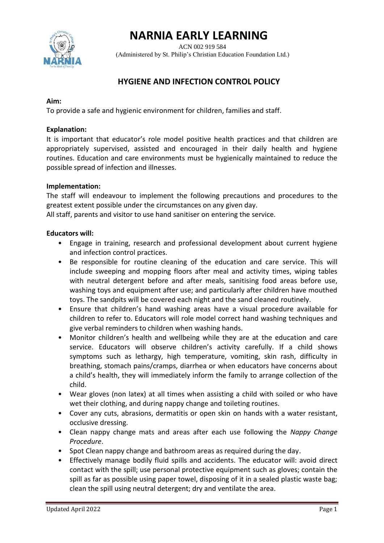# **NARNIA EARLY LEARNING**



 ACN 002 919 584 (Administered by St. Philip's Christian Education Foundation Ltd.)

# **HYGIENE AND INFECTION CONTROL POLICY**

### **Aim:**

To provide a safe and hygienic environment for children, families and staff.

#### **Explanation:**

It is important that educator's role model positive health practices and that children are appropriately supervised, assisted and encouraged in their daily health and hygiene routines. Education and care environments must be hygienically maintained to reduce the possible spread of infection and illnesses.

#### **Implementation:**

The staff will endeavour to implement the following precautions and procedures to the greatest extent possible under the circumstances on any given day.

All staff, parents and visitor to use hand sanitiser on entering the service.

#### **Educators will:**

- Engage in training, research and professional development about current hygiene and infection control practices.
- Be responsible for routine cleaning of the education and care service. This will include sweeping and mopping floors after meal and activity times, wiping tables with neutral detergent before and after meals, sanitising food areas before use, washing toys and equipment after use; and particularly after children have mouthed toys. The sandpits will be covered each night and the sand cleaned routinely.
- Ensure that children's hand washing areas have a visual procedure available for children to refer to. Educators will role model correct hand washing techniques and give verbal reminders to children when washing hands.
- Monitor children's health and wellbeing while they are at the education and care service. Educators will observe children's activity carefully. If a child shows symptoms such as lethargy, high temperature, vomiting, skin rash, difficulty in breathing, stomach pains/cramps, diarrhea or when educators have concerns about a child's health, they will immediately inform the family to arrange collection of the child.
- Wear gloves (non latex) at all times when assisting a child with soiled or who have wet their clothing, and during nappy change and toileting routines.
- Cover any cuts, abrasions, dermatitis or open skin on hands with a water resistant, occlusive dressing.
- Clean nappy change mats and areas after each use following the *Nappy Change Procedure*.
- Spot Clean nappy change and bathroom areas as required during the day.
- Effectively manage bodily fluid spills and accidents. The educator will: avoid direct contact with the spill; use personal protective equipment such as gloves; contain the spill as far as possible using paper towel, disposing of it in a sealed plastic waste bag; clean the spill using neutral detergent; dry and ventilate the area.